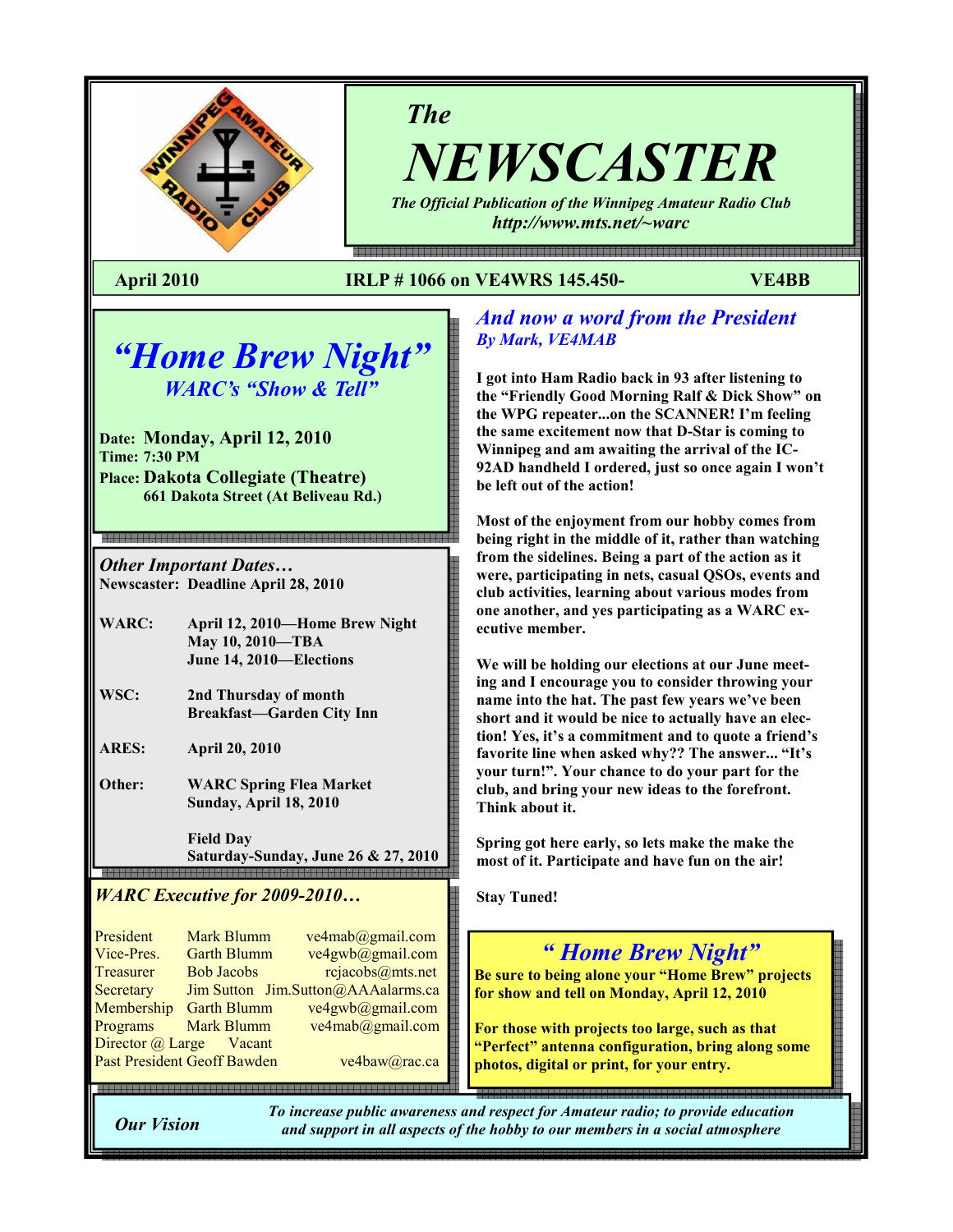

The

NEWSCASTER

The Official Publication of the Winnipeg Amateur Radio Club http://www.mts.net/~warc

e - 1990 - 1990 - 1990 - 1990 - 1990 - 1990 - 1990 - 1990 - 1990 - 1990 - 1990 - 1990 - 1990 - 1990 - 1990 - 1

### April 2010 IRLP # 1066 on VE4WRS 145.450- VE4BB

# "Home Brew Night" WARC's "Show & Tell"

Date: Monday, April 12, 2010 Time: 7:30 PM Place: Dakota Collegiate (Theatre) 661 Dakota Street (At Beliveau Rd.)

Other Important Dates… Newscaster: Deadline April 28, 2010

- WARC: April 12, 2010—Home Brew Night May 10, 2010—TBA June 14, 2010—Elections
- WSC: 2nd Thursday of month Breakfast—Garden City Inn
- ARES: April 20, 2010

Other: WARC Spring Flea Market Sunday, April 18, 2010

 Field Day Saturday-Sunday, June 26 & 27, 2010

### WARC Executive for 2009-2010…

President Mark-Blumm ve4mab@gmail.com<br>Vice-Pres Garth-Blumm ve4gwb@gmail.com Garth Blumm ve4gwb@gmail.com<br>Bob Jacobs reiacobs@mts.net Treasurer Bob Jacobs rejacobs@mts.net Secretary Jim Sutton Jim.Sutton@AAAalarms.ca Membership Garth Blumm ve4gwb@gmail.com Programs Mark Blumm ve4mab@gmail.com Director @ Large Vacant Past President Geoff Bawden ve4baw@rac.ca

### And now a word from the President By Mark, VE4MAB

I got into Ham Radio back in 93 after listening to the "Friendly Good Morning Ralf & Dick Show" on the WPG repeater...on the SCANNER! I'm feeling the same excitement now that D-Star is coming to Winnipeg and am awaiting the arrival of the IC-92AD handheld I ordered, just so once again I won't be left out of the action!

Most of the enjoyment from our hobby comes from being right in the middle of it, rather than watching from the sidelines. Being a part of the action as it were, participating in nets, casual QSOs, events and club activities, learning about various modes from one another, and yes participating as a WARC executive member.

We will be holding our elections at our June meeting and I encourage you to consider throwing your name into the hat. The past few years we've been short and it would be nice to actually have an election! Yes, it's a commitment and to quote a friend's favorite line when asked why?? The answer... "It's your turn!". Your chance to do your part for the club, and bring your new ideas to the forefront. Think about it.

Spring got here early, so lets make the make the most of it. Participate and have fun on the air!

Stay Tuned!

## " Home Brew Night"

Be sure to being alone your "Home Brew" projects for show and tell on Monday, April 12, 2010

For those with projects too large, such as that "Perfect" antenna configuration, bring along some photos, digital or print, for your entry.

Our Vision

To increase public awareness and respect for Amateur radio; to provide education and support in all aspects of the hobby to our members in a social atmosphere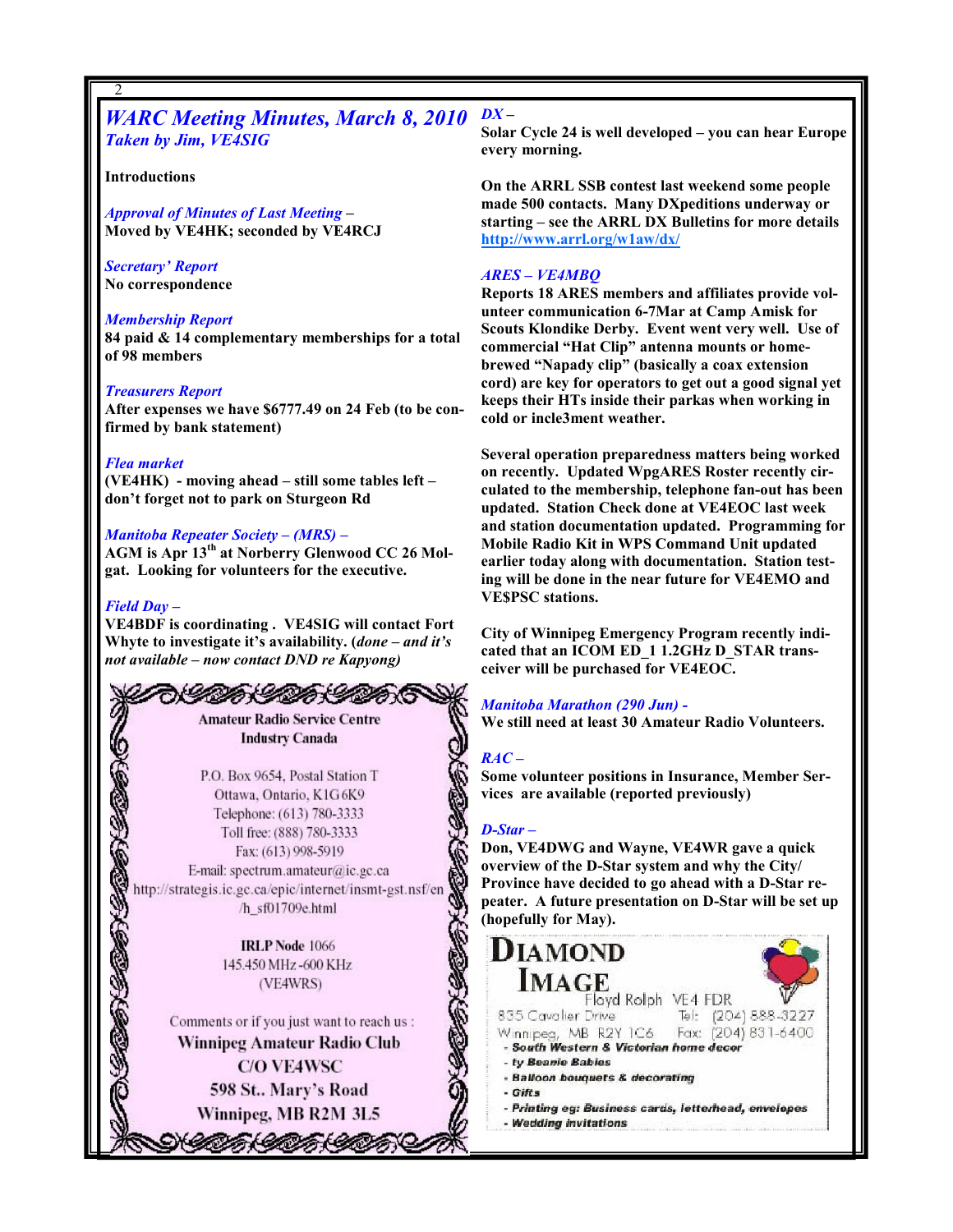### WARC Meeting Minutes, March 8, 2010 Taken by Jim, VE4SIG

#### Introductions

2

Approval of Minutes of Last Meeting – Moved by VE4HK; seconded by VE4RCJ

#### Secretary' Report No correspondence

#### Membership Report

84 paid & 14 complementary memberships for a total of 98 members

#### Treasurers Report

After expenses we have \$6777.49 on 24 Feb (to be confirmed by bank statement)

#### Flea market

(VE4HK) - moving ahead – still some tables left – don't forget not to park on Sturgeon Rd

Manitoba Repeater Society – (MRS) – AGM is Apr 13<sup>th</sup> at Norberry Glenwood CC 26 Molgat. Looking for volunteers for the executive.

#### Field Day –

2

435

VE4BDF is coordinating . VE4SIG will contact Fort Whyte to investigate it's availability. (done - and it's not available – now contact DND re Kapyong)

> DA CIDA C **Amateur Radio Service Centre Industry Canada**

P.O. Box 9654, Postal Station T Ottawa, Ontario, K1G6K9 Telephone: (613) 780-3333 Toll free: (888) 780-3333 Fax: (613) 998-5919 E-mail: spectrum.amateur@ic.gc.ca http://strategis.ic.gc.ca/epic/internet/insmt-gst.nsf/en /h\_sf01709e.html

> **IRLP Node 1066** 145.450 MHz-600 KHz (VE4WRS)

Comments or if you just want to reach us: Winnipeg Amateur Radio Club **C/O VE4WSC** 598 St., Mary's Road Winnipeg, MB R2M 3L5

うくしのかくりのかくりのか

 $DX -$ 

Solar Cycle 24 is well developed – you can hear Europe every morning.

On the ARRL SSB contest last weekend some people made 500 contacts. Many DXpeditions underway or starting – see the ARRL DX Bulletins for more details http://www.arrl.org/w1aw/dx/

#### ARES – VE4MBQ

Reports 18 ARES members and affiliates provide volunteer communication 6-7Mar at Camp Amisk for Scouts Klondike Derby. Event went very well. Use of commercial "Hat Clip" antenna mounts or homebrewed "Napady clip" (basically a coax extension cord) are key for operators to get out a good signal yet keeps their HTs inside their parkas when working in cold or incle3ment weather.

Several operation preparedness matters being worked on recently. Updated WpgARES Roster recently circulated to the membership, telephone fan-out has been updated. Station Check done at VE4EOC last week and station documentation updated. Programming for Mobile Radio Kit in WPS Command Unit updated earlier today along with documentation. Station testing will be done in the near future for VE4EMO and VE\$PSC stations.

City of Winnipeg Emergency Program recently indicated that an ICOM ED\_1 1.2GHz D\_STAR transceiver will be purchased for VE4EOC.

#### Manitoba Marathon (290 Jun) -

We still need at least 30 Amateur Radio Volunteers.

### $RAC -$

Some volunteer positions in Insurance, Member Services are available (reported previously)

### D-Star –

Don, VE4DWG and Wayne, VE4WR gave a quick overview of the D-Star system and why the City/ Province have decided to go ahead with a D-Star repeater. A future presentation on D-Star will be set up (hopefully for May).

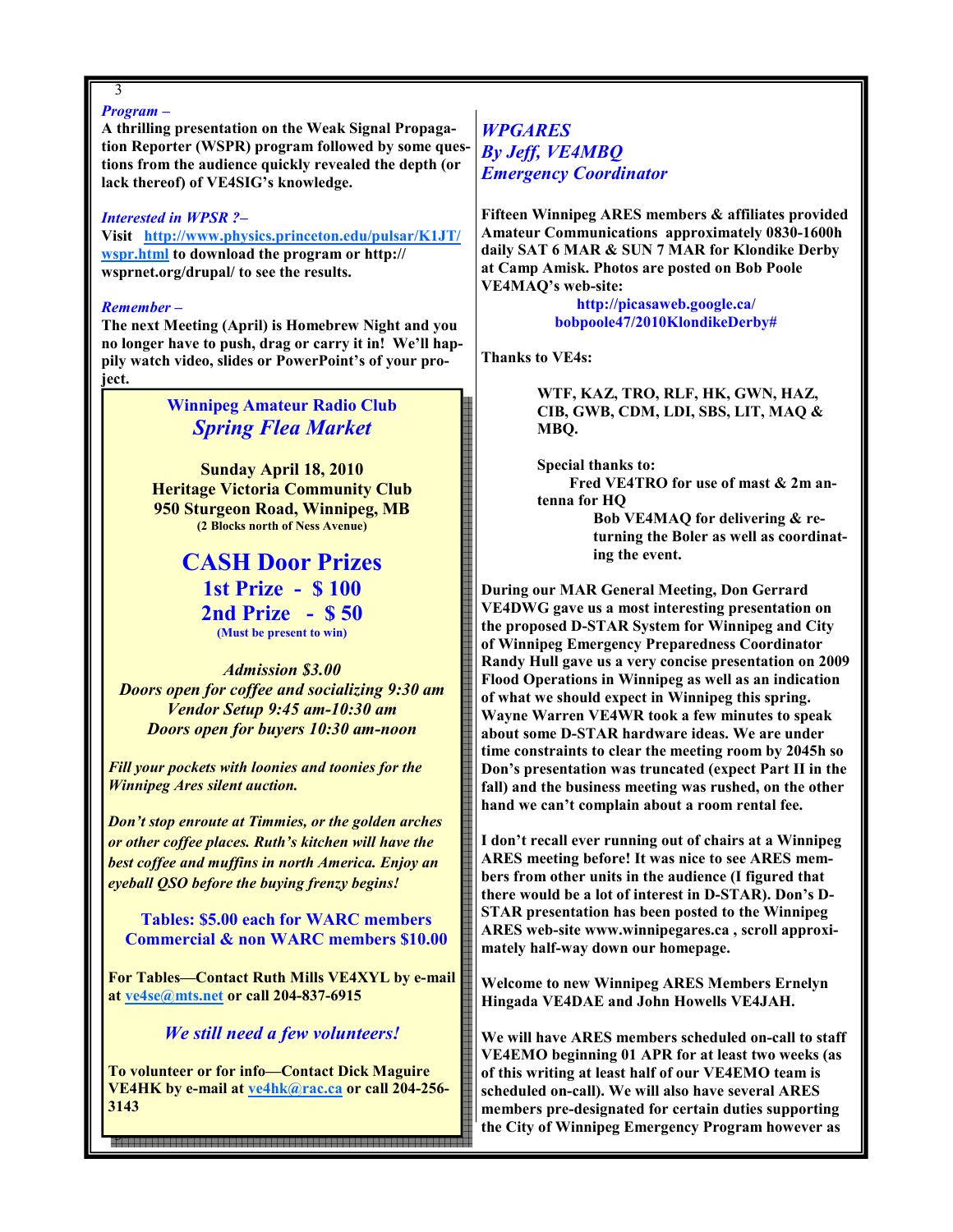### 3

#### Program –

A thrilling presentation on the Weak Signal Propagation Reporter (WSPR) program followed by some questions from the audience quickly revealed the depth (or lack thereof) of VE4SIG's knowledge.

#### Interested in WPSR ?–

Visit http://www.physics.princeton.edu/pulsar/K1JT/ wspr.html to download the program or http:// wsprnet.org/drupal/ to see the results.

#### Remember –

The next Meeting (April) is Homebrew Night and you no longer have to push, drag or carry it in! We'll happily watch video, slides or PowerPoint's of your project.

> Winnipeg Amateur Radio Club Spring Flea Market

Sunday April 18, 2010 Heritage Victoria Community Club 950 Sturgeon Road, Winnipeg, MB (2 Blocks north of Ness Avenue)

> CASH Door Prizes 1st Prize - \$ 100 2nd Prize - \$ 50 (Must be present to win)

Admission \$3.00 Doors open for coffee and socializing 9:30 am Vendor Setup 9:45 am-10:30 am Doors open for buyers 10:30 am-noon

Fill your pockets with loonies and toonies for the Winnipeg Ares silent auction.

Don't stop enroute at Timmies, or the golden arches or other coffee places. Ruth's kitchen will have the best coffee and muffins in north America. Enjoy an eyeball QSO before the buying frenzy begins!

 Tables: \$5.00 each for WARC members Commercial & non WARC members \$10.00

For Tables—Contact Ruth Mills VE4XYL by e-mail at ve4se@mts.net or call 204-837-6915

### We still need a few volunteers!

To volunteer or for info—Contact Dick Maguire VE4HK by e-mail at ve4hk@rac.ca or call 204-256- 3143

3

### **WPGARES** By Jeff, VE4MBQ Emergency Coordinator

Fifteen Winnipeg ARES members & affiliates provided Amateur Communications approximately 0830-1600h daily SAT 6 MAR & SUN 7 MAR for Klondike Derby at Camp Amisk. Photos are posted on Bob Poole VE4MAQ's web-site:

> http://picasaweb.google.ca/ bobpoole47/2010KlondikeDerby#

Thanks to VE4s:

WTF, KAZ, TRO, RLF, HK, GWN, HAZ, CIB, GWB, CDM, LDI, SBS, LIT, MAQ & MBQ.

Special thanks to: Fred VE4TRO for use of mast & 2m antenna for HQ Bob VE4MAQ for delivering & re-

turning the Boler as well as coordinating the event.

During our MAR General Meeting, Don Gerrard VE4DWG gave us a most interesting presentation on the proposed D-STAR System for Winnipeg and City of Winnipeg Emergency Preparedness Coordinator Randy Hull gave us a very concise presentation on 2009 Flood Operations in Winnipeg as well as an indication of what we should expect in Winnipeg this spring. Wayne Warren VE4WR took a few minutes to speak about some D-STAR hardware ideas. We are under time constraints to clear the meeting room by 2045h so Don's presentation was truncated (expect Part II in the fall) and the business meeting was rushed, on the other hand we can't complain about a room rental fee.

I don't recall ever running out of chairs at a Winnipeg ARES meeting before! It was nice to see ARES members from other units in the audience (I figured that there would be a lot of interest in D-STAR). Don's D-STAR presentation has been posted to the Winnipeg ARES web-site www.winnipegares.ca , scroll approximately half-way down our homepage.

Welcome to new Winnipeg ARES Members Ernelyn Hingada VE4DAE and John Howells VE4JAH.

We will have ARES members scheduled on-call to staff VE4EMO beginning 01 APR for at least two weeks (as of this writing at least half of our VE4EMO team is scheduled on-call). We will also have several ARES members pre-designated for certain duties supporting the City of Winnipeg Emergency Program however as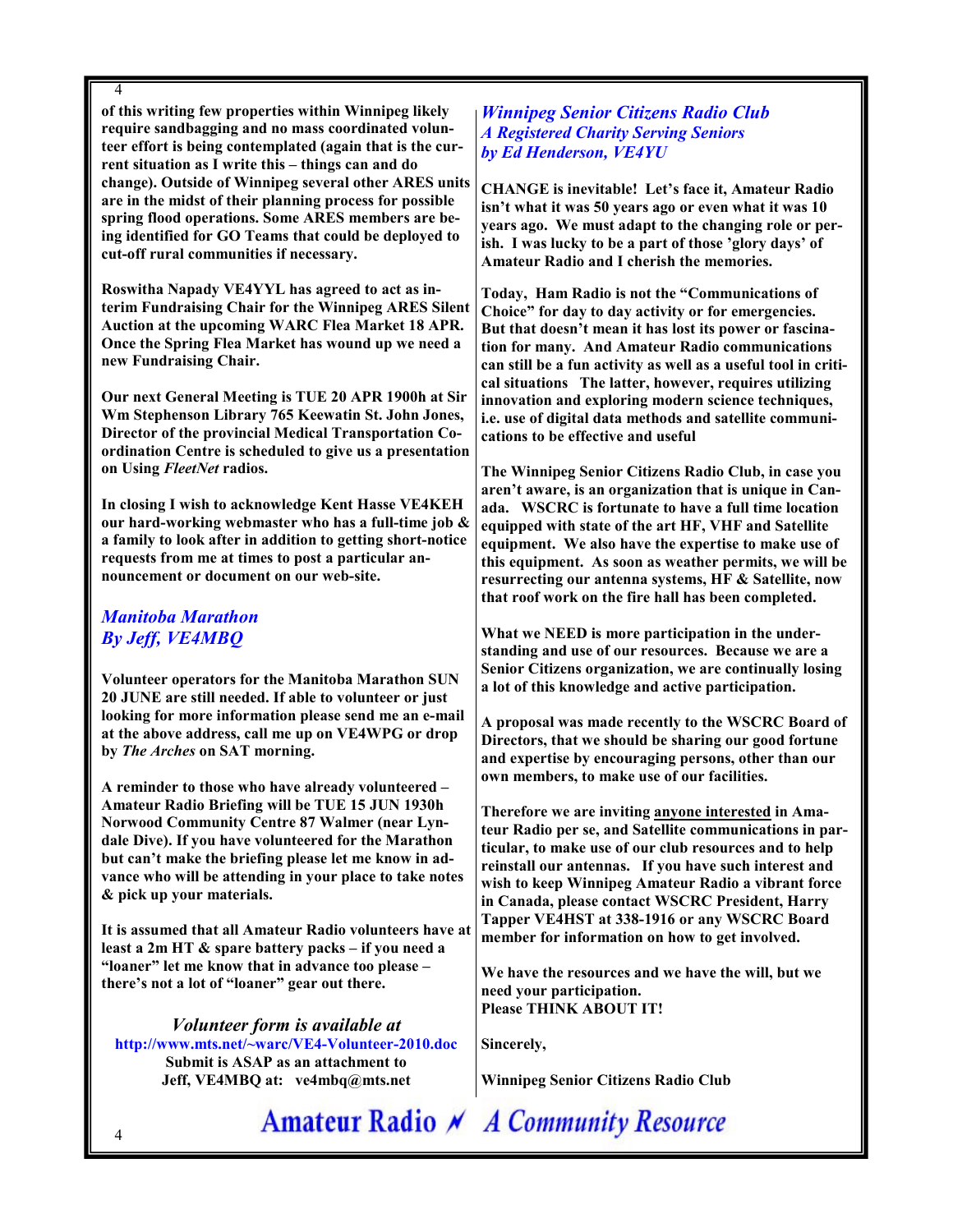4

of this writing few properties within Winnipeg likely require sandbagging and no mass coordinated volunteer effort is being contemplated (again that is the current situation as I write this – things can and do change). Outside of Winnipeg several other ARES units are in the midst of their planning process for possible spring flood operations. Some ARES members are being identified for GO Teams that could be deployed to cut-off rural communities if necessary.

Roswitha Napady VE4YYL has agreed to act as interim Fundraising Chair for the Winnipeg ARES Silent Auction at the upcoming WARC Flea Market 18 APR. Once the Spring Flea Market has wound up we need a new Fundraising Chair.

Our next General Meeting is TUE 20 APR 1900h at Sir Wm Stephenson Library 765 Keewatin St. John Jones, Director of the provincial Medical Transportation Coordination Centre is scheduled to give us a presentation on Using FleetNet radios.

In closing I wish to acknowledge Kent Hasse VE4KEH our hard-working webmaster who has a full-time job & a family to look after in addition to getting short-notice requests from me at times to post a particular announcement or document on our web-site.

### Manitoba Marathon By Jeff, VE4MBQ

Volunteer operators for the Manitoba Marathon SUN 20 JUNE are still needed. If able to volunteer or just looking for more information please send me an e-mail at the above address, call me up on VE4WPG or drop by The Arches on SAT morning.

A reminder to those who have already volunteered – Amateur Radio Briefing will be TUE 15 JUN 1930h Norwood Community Centre 87 Walmer (near Lyndale Dive). If you have volunteered for the Marathon but can't make the briefing please let me know in advance who will be attending in your place to take notes & pick up your materials.

It is assumed that all Amateur Radio volunteers have at least a 2m HT & spare battery packs – if you need a "loaner" let me know that in advance too please – there's not a lot of "loaner" gear out there.

### Volunteer form is available at

http://www.mts.net/~warc/VE4-Volunteer-2010.doc Submit is ASAP as an attachment to Jeff, VE4MBQ at: ve4mbq@mts.net

### Winnipeg Senior Citizens Radio Club A Registered Charity Serving Seniors by Ed Henderson, VE4YU

CHANGE is inevitable! Let's face it, Amateur Radio isn't what it was 50 years ago or even what it was 10 years ago. We must adapt to the changing role or perish. I was lucky to be a part of those 'glory days' of Amateur Radio and I cherish the memories.

Today, Ham Radio is not the "Communications of Choice" for day to day activity or for emergencies. But that doesn't mean it has lost its power or fascination for many. And Amateur Radio communications can still be a fun activity as well as a useful tool in critical situations The latter, however, requires utilizing innovation and exploring modern science techniques, i.e. use of digital data methods and satellite communications to be effective and useful

The Winnipeg Senior Citizens Radio Club, in case you aren't aware, is an organization that is unique in Canada. WSCRC is fortunate to have a full time location equipped with state of the art HF, VHF and Satellite equipment. We also have the expertise to make use of this equipment. As soon as weather permits, we will be resurrecting our antenna systems, HF & Satellite, now that roof work on the fire hall has been completed.

What we NEED is more participation in the understanding and use of our resources. Because we are a Senior Citizens organization, we are continually losing a lot of this knowledge and active participation.

A proposal was made recently to the WSCRC Board of Directors, that we should be sharing our good fortune and expertise by encouraging persons, other than our own members, to make use of our facilities.

Therefore we are inviting anyone interested in Amateur Radio per se, and Satellite communications in particular, to make use of our club resources and to help reinstall our antennas. If you have such interest and wish to keep Winnipeg Amateur Radio a vibrant force in Canada, please contact WSCRC President, Harry Tapper VE4HST at 338-1916 or any WSCRC Board member for information on how to get involved.

We have the resources and we have the will, but we need your participation. Please THINK ABOUT IT!

Sincerely,

Winnipeg Senior Citizens Radio Club

Amateur Radio N A Community Resource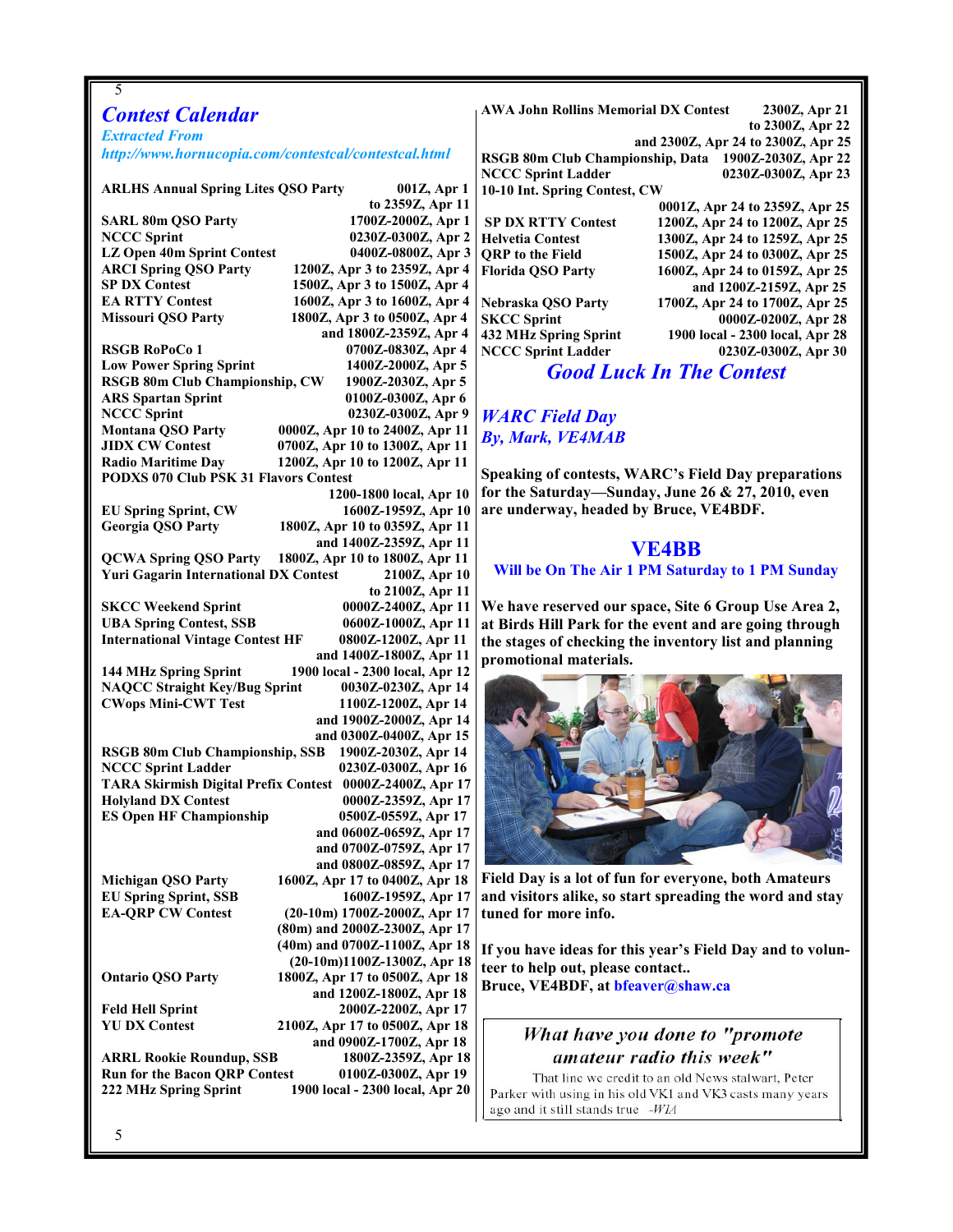#### 5

### Contest Calendar

Extracted From http://www.hornucopia.com/contestcal/contestcal.html

ARLHS Annual Spring Lites QSO Party 001Z, Apr 1 to 2359Z, Apr 11 SARL 80m QSO Party 1700Z-2000Z, Apr 1 NCCC Sprint 0230Z-0300Z, Apr 2 LZ Open 40m Sprint Contest 0400Z-0800Z, Apr 3 ARCI Spring QSO Party 1200Z, Apr 3 to 2359Z, Apr 4<br>SP DX Contest 1500Z, Apr 3 to 1500Z, Apr 4 SP DX Contest 1500Z, Apr 3 to 1500Z, Apr 4<br>EA RTTY Contest 1600Z, Apr 3 to 1600Z, Apr 4 EA RTTY Contest 1600Z, Apr 3 to 1600Z, Apr 4<br>Missouri OSO Party 1800Z, Apr 3 to 0500Z, Apr 4 1800Z, Apr 3 to 0500Z, Apr 4 and 1800Z-2359Z, Apr 4 RSGB RoPoCo 1 0700Z-0830Z, Apr 4 Low Power Spring Sprint 1400Z-2000Z, Apr 5 RSGB 80m Club Championship, CW 1900Z-2030Z, Apr 5 ARS Spartan Sprint 0100Z-0300Z, Apr 6 NCCC Sprint 0230Z-0300Z, Apr 9 Montana QSO Party 0000Z, Apr 10 to 2400Z, Apr 11 JIDX CW Contest 0700Z, Apr 10 to 1300Z, Apr 11 1200Z, Apr 10 to 1200Z, Apr 11 PODXS 070 Club PSK 31 Flavors Contest

 1200-1800 local, Apr 10 EU Spring Sprint, CW 1600Z-1959Z, Apr 10 1800Z, Apr 10 to 0359Z, Apr 11 and 1400Z-2359Z, Apr 11 QCWA Spring QSO Party 1800Z, Apr 10 to 1800Z, Apr 11 Yuri Gagarin International DX Contest 2100Z, Apr 10 to 2100Z, Apr 11 SKCC Weekend Sprint 0000Z-2400Z, Apr 11 UBA Spring Contest, SSB 0600Z-1000Z, Apr 11 International Vintage Contest HF 0800Z-1200Z, Apr 11 and 1400Z-1800Z, Apr 11 144 MHz Spring Sprint 1900 local - 2300 local, Apr 12 NAQCC Straight Key/Bug Sprint 0030Z-0230Z, Apr 14 CWops Mini-CWT Test 1100Z-1200Z, Apr 14 and 1900Z-2000Z, Apr 14 and 0300Z-0400Z, Apr 15 RSGB 80m Club Championship, SSB 1900Z-2030Z, Apr 14 0230Z-0300Z, Apr 16 TARA Skirmish Digital Prefix Contest 0000Z-2400Z, Apr 17 Holyland DX Contest 0000Z-2359Z, Apr 17 ES Open HF Championship 0500Z-0559Z, Apr 17 and 0600Z-0659Z, Apr 17 and 0700Z-0759Z, Apr 17 and 0800Z-0859Z, Apr 17

Michigan QSO Party 1600Z, Apr 17 to 0400Z, Apr 18 EU Spring Sprint, SSB 1600Z-1959Z, Apr 17 EA-QRP CW Contest (20-10m) 1700Z-2000Z, Apr 17

Ontario QSO Party 1800Z, Apr 17 to 0500Z, Apr 18

Feld Hell Sprint 2000Z-2200Z, Apr 17

 and 0900Z-1700Z, Apr 18 ARRL Rookie Roundup, SSB 1800Z-2359Z, Apr 18 Run for the Bacon QRP Contest 0100Z-0300Z, Apr 19 222 MHz Spring Sprint 1900 local - 2300 local, Apr 20

 (80m) and 2000Z-2300Z, Apr 17 (40m) and 0700Z-1100Z, Apr 18 (20-10m)1100Z-1300Z, Apr 18

2100Z, Apr 17 to 0500Z, Apr 18

and 1200Z-1800Z, Apr 18

AWA John Rollins Memorial DX Contest 2300Z, Apr 21 to 2300Z, Apr 22 and 2300Z, Apr 24 to 2300Z, Apr 25 RSGB 80m Club Championship, Data 1900Z-2030Z, Apr 22 0230Z-0300Z, Apr 23 10-10 Int. Spring Contest, CW 0001Z, Apr 24 to 2359Z, Apr 25 SP DX RTTY Contest 1200Z, Apr 24 to 1200Z, Apr 25<br>Helvetia Contest 1300Z, Apr 24 to 1259Z, Apr 25 Helvetia Contest 1300Z, Apr 24 to 1259Z, Apr 25<br>ORP to the Field 1500Z, Apr 24 to 0300Z, Apr 25 1500Z, Apr 24 to 0300Z, Apr 25 Florida QSO Party 1600Z, Apr 24 to 0159Z, Apr 25 and 1200Z-2159Z, Apr 25 Nebraska QSO Party 1700Z, Apr 24 to 1700Z, Apr 25 SKCC Sprint 0000Z-0200Z, Apr 28<br>432 MHz Spring Sprint 1900 local - 2300 local, Apr 28

NCCC Sprint Ladder 0230Z-0300Z, Apr 30 Good Luck In The Contest

1900 local - 2300 local, Apr 28

### WARC Field Day By, Mark, VE4MAB

Speaking of contests, WARC's Field Day preparations for the Saturday—Sunday, June 26 & 27, 2010, even are underway, headed by Bruce, VE4BDF.

### VE4BB

#### Will be On The Air 1 PM Saturday to 1 PM Sunday

We have reserved our space, Site 6 Group Use Area 2, at Birds Hill Park for the event and are going through the stages of checking the inventory list and planning promotional materials.



Field Day is a lot of fun for everyone, both Amateurs and visitors alike, so start spreading the word and stay tuned for more info.

If you have ideas for this year's Field Day and to volunteer to help out, please contact.. Bruce, VE4BDF, at bfeaver@shaw.ca

### What have you done to "promote amateur radio this week"

That line we credit to an old News stalwart, Peter Parker with using in his old VK1 and VK3 casts many years ago and it still stands true -WIA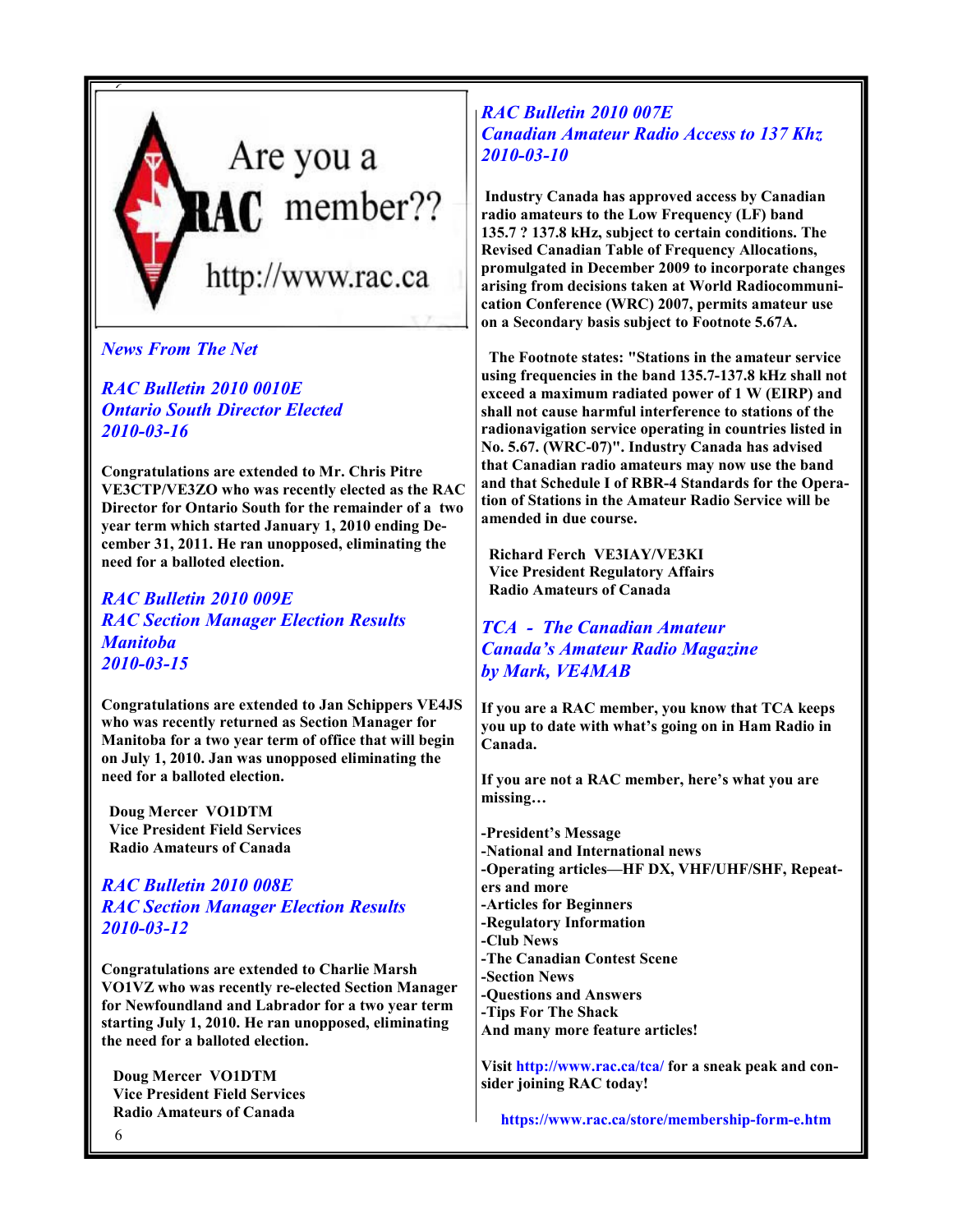

News From The Net

RAC Bulletin 2010 0010E Ontario South Director Elected 2010-03-16

Congratulations are extended to Mr. Chris Pitre VE3CTP/VE3ZO who was recently elected as the RAC Director for Ontario South for the remainder of a two year term which started January 1, 2010 ending December 31, 2011. He ran unopposed, eliminating the need for a balloted election.

RAC Bulletin 2010 009E RAC Section Manager Election Results Manitoba 2010-03-15

Congratulations are extended to Jan Schippers VE4JS who was recently returned as Section Manager for Manitoba for a two year term of office that will begin on July 1, 2010. Jan was unopposed eliminating the need for a balloted election.

 Doug Mercer VO1DTM Vice President Field Services Radio Amateurs of Canada

RAC Bulletin 2010 008E RAC Section Manager Election Results 2010-03-12

Congratulations are extended to Charlie Marsh VO1VZ who was recently re-elected Section Manager for Newfoundland and Labrador for a two year term starting July 1, 2010. He ran unopposed, eliminating the need for a balloted election.

 Doug Mercer VO1DTM Vice President Field Services Radio Amateurs of Canada

RAC Bulletin 2010 007E Canadian Amateur Radio Access to 137 Khz 2010-03-10

 Industry Canada has approved access by Canadian radio amateurs to the Low Frequency (LF) band 135.7 ? 137.8 kHz, subject to certain conditions. The Revised Canadian Table of Frequency Allocations, promulgated in December 2009 to incorporate changes arising from decisions taken at World Radiocommunication Conference (WRC) 2007, permits amateur use on a Secondary basis subject to Footnote 5.67A.

 The Footnote states: "Stations in the amateur service using frequencies in the band 135.7-137.8 kHz shall not exceed a maximum radiated power of 1 W (EIRP) and shall not cause harmful interference to stations of the radionavigation service operating in countries listed in No. 5.67. (WRC-07)". Industry Canada has advised that Canadian radio amateurs may now use the band and that Schedule I of RBR-4 Standards for the Operation of Stations in the Amateur Radio Service will be amended in due course.

 Richard Ferch VE3IAY/VE3KI Vice President Regulatory Affairs Radio Amateurs of Canada

TCA - The Canadian Amateur Canada's Amateur Radio Magazine by Mark, VE4MAB

If you are a RAC member, you know that TCA keeps you up to date with what's going on in Ham Radio in Canada.

If you are not a RAC member, here's what you are missing…

-President's Message -National and International news -Operating articles—HF DX, VHF/UHF/SHF, Repeaters and more -Articles for Beginners -Regulatory Information -Club News -The Canadian Contest Scene -Section News -Questions and Answers -Tips For The Shack And many more feature articles!

Visit http://www.rac.ca/tca/ for a sneak peak and consider joining RAC today!

https://www.rac.ca/store/membership-form-e.htm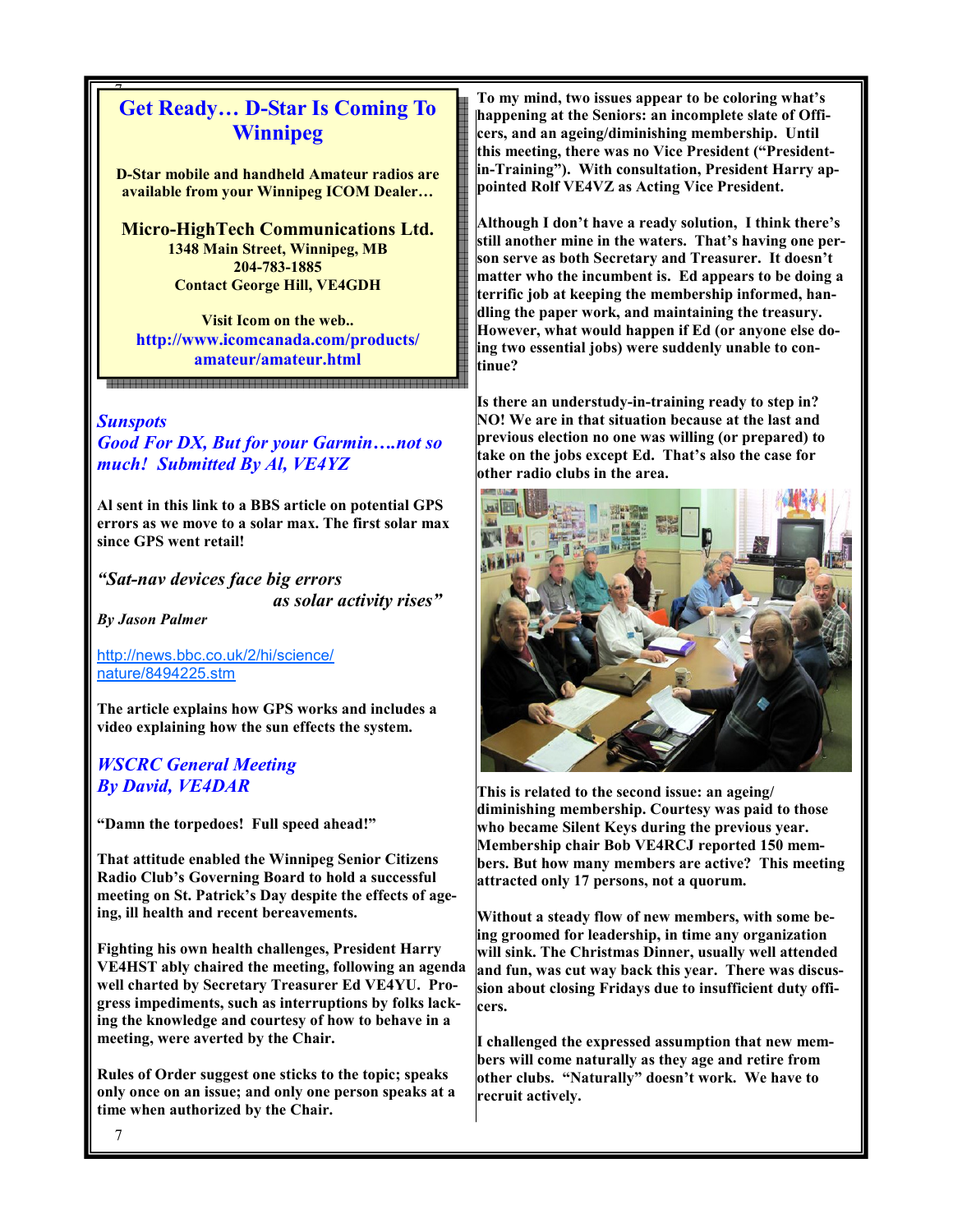### 7 Get Ready… D-Star Is Coming To Winnipeg

D-Star mobile and handheld Amateur radios are available from your Winnipeg ICOM Dealer…

Micro-HighTech Communications Ltd. 1348 Main Street, Winnipeg, MB 204-783-1885 Contact George Hill, VE4GDH

Visit Icom on the web.. http://www.icomcanada.com/products/ amateur/amateur.html

#### **Sunspots**

Good For DX, But for your Garmin….not so much! Submitted By Al, VE4YZ

.<br>- 200 원 전 전 200 원 전 전 200 원 전 전 200 원 전 200 원 전 200 원 전 200 원 전 200 원 전 200 원 200 원 200 원 200 원 200 원 200 원 20<br>- 200 원 200 원 200 원 200 원 200 원 200 원 200 원 200 원 200 원 200 원 200 원 200 원 200 원 200 원 200 원 200 원 200 원 200

Al sent in this link to a BBS article on potential GPS errors as we move to a solar max. The first solar max since GPS went retail!

"Sat-nav devices face big errors

as solar activity rises"

By Jason Palmer

http://news.bbc.co.uk/2/hi/science/ nature/8494225.stm

The article explains how GPS works and includes a video explaining how the sun effects the system.

### WSCRC General Meeting By David, VE4DAR

"Damn the torpedoes! Full speed ahead!"

That attitude enabled the Winnipeg Senior Citizens Radio Club's Governing Board to hold a successful meeting on St. Patrick's Day despite the effects of ageing, ill health and recent bereavements.

Fighting his own health challenges, President Harry VE4HST ably chaired the meeting, following an agenda well charted by Secretary Treasurer Ed VE4YU. Progress impediments, such as interruptions by folks lacking the knowledge and courtesy of how to behave in a meeting, were averted by the Chair.

Rules of Order suggest one sticks to the topic; speaks only once on an issue; and only one person speaks at a time when authorized by the Chair.

To my mind, two issues appear to be coloring what's happening at the Seniors: an incomplete slate of Officers, and an ageing/diminishing membership. Until this meeting, there was no Vice President ("Presidentin-Training"). With consultation, President Harry appointed Rolf VE4VZ as Acting Vice President.

Although I don't have a ready solution, I think there's still another mine in the waters. That's having one person serve as both Secretary and Treasurer. It doesn't matter who the incumbent is. Ed appears to be doing a terrific job at keeping the membership informed, handling the paper work, and maintaining the treasury. However, what would happen if Ed (or anyone else doing two essential jobs) were suddenly unable to continue?

Is there an understudy-in-training ready to step in? NO! We are in that situation because at the last and previous election no one was willing (or prepared) to take on the jobs except Ed. That's also the case for other radio clubs in the area.



This is related to the second issue: an ageing/ diminishing membership. Courtesy was paid to those who became Silent Keys during the previous year. Membership chair Bob VE4RCJ reported 150 members. But how many members are active? This meeting attracted only 17 persons, not a quorum.

Without a steady flow of new members, with some being groomed for leadership, in time any organization will sink. The Christmas Dinner, usually well attended and fun, was cut way back this year. There was discussion about closing Fridays due to insufficient duty officers.

I challenged the expressed assumption that new members will come naturally as they age and retire from other clubs. "Naturally" doesn't work. We have to recruit actively.